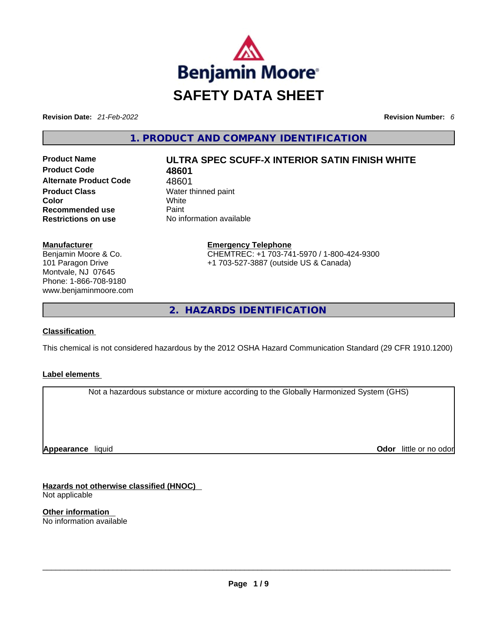

**Revision Date:** *21-Feb-2022* **Revision Number:** *6*

**1. PRODUCT AND COMPANY IDENTIFICATION** 

**Product Code 48601 Alternate Product Code** 48601 **Product Class Water thinned paint Color** White **Recommended use** Paint **Restrictions on use** No information available

# **Product Name ULTRA SPEC SCUFF-X INTERIOR SATIN FINISH WHITE**

**Manufacturer** Benjamin Moore & Co. 101 Paragon Drive Montvale, NJ 07645 Phone: 1-866-708-9180 www.benjaminmoore.com **Emergency Telephone** CHEMTREC: +1 703-741-5970 / 1-800-424-9300 +1 703-527-3887 (outside US & Canada)

**2. HAZARDS IDENTIFICATION** 

# **Classification**

This chemical is not considered hazardous by the 2012 OSHA Hazard Communication Standard (29 CFR 1910.1200)

#### **Label elements**

Not a hazardous substance or mixture according to the Globally Harmonized System (GHS)

**Appearance** liquid

**Odor** little or no odor

**Hazards not otherwise classified (HNOC)**  Not applicable

**Other information**  No information available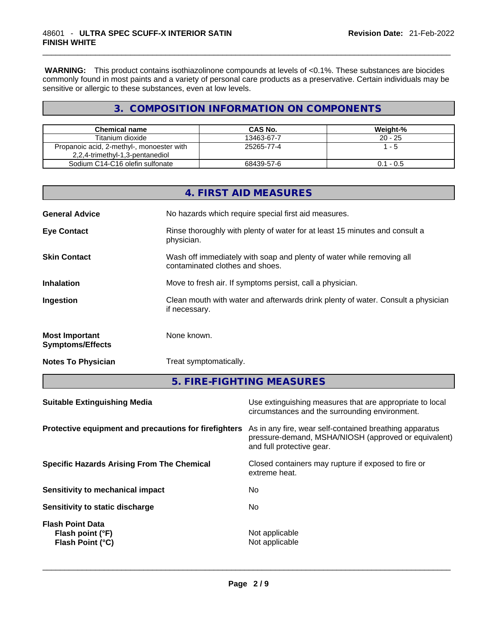**WARNING:** This product contains isothiazolinone compounds at levels of <0.1%. These substances are biocides commonly found in most paints and a variety of personal care products as a preservative. Certain individuals may be sensitive or allergic to these substances, even at low levels.

# **3. COMPOSITION INFORMATION ON COMPONENTS**

| <b>Chemical name</b>                      | CAS No.    | Weight-%    |
|-------------------------------------------|------------|-------------|
| Titanium dioxide                          | 13463-67-7 | $20 - 25$   |
| Propanoic acid, 2-methyl-, monoester with | 25265-77-4 | - 5         |
| 2,2,4-trimethyl-1,3-pentanediol           |            |             |
| Sodium C14-C16 olefin sulfonate           | 68439-57-6 | $0.1 - 0.5$ |

|                                                  | 4. FIRST AID MEASURES                                                                                    |
|--------------------------------------------------|----------------------------------------------------------------------------------------------------------|
| <b>General Advice</b>                            | No hazards which require special first aid measures.                                                     |
| <b>Eye Contact</b>                               | Rinse thoroughly with plenty of water for at least 15 minutes and consult a<br>physician.                |
| <b>Skin Contact</b>                              | Wash off immediately with soap and plenty of water while removing all<br>contaminated clothes and shoes. |
| <b>Inhalation</b>                                | Move to fresh air. If symptoms persist, call a physician.                                                |
| Ingestion                                        | Clean mouth with water and afterwards drink plenty of water. Consult a physician<br>if necessary.        |
| <b>Most Important</b><br><b>Symptoms/Effects</b> | None known.                                                                                              |
| <b>Notes To Physician</b>                        | Treat symptomatically.                                                                                   |

**5. FIRE-FIGHTING MEASURES** 

| <b>Suitable Extinguishing Media</b>                             | Use extinguishing measures that are appropriate to local<br>circumstances and the surrounding environment.                                   |
|-----------------------------------------------------------------|----------------------------------------------------------------------------------------------------------------------------------------------|
| Protective equipment and precautions for firefighters           | As in any fire, wear self-contained breathing apparatus<br>pressure-demand, MSHA/NIOSH (approved or equivalent)<br>and full protective gear. |
| <b>Specific Hazards Arising From The Chemical</b>               | Closed containers may rupture if exposed to fire or<br>extreme heat.                                                                         |
| Sensitivity to mechanical impact                                | No.                                                                                                                                          |
| Sensitivity to static discharge                                 | No.                                                                                                                                          |
| <b>Flash Point Data</b><br>Flash point (°F)<br>Flash Point (°C) | Not applicable<br>Not applicable                                                                                                             |
|                                                                 |                                                                                                                                              |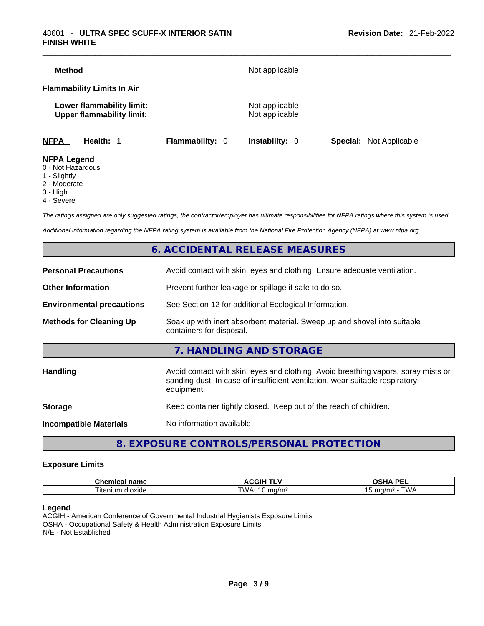| <b>Method</b>      |                                                               |                        | Not applicable                   |                                |
|--------------------|---------------------------------------------------------------|------------------------|----------------------------------|--------------------------------|
|                    | <b>Flammability Limits In Air</b>                             |                        |                                  |                                |
|                    | Lower flammability limit:<br><b>Upper flammability limit:</b> |                        | Not applicable<br>Not applicable |                                |
| <b>NFPA</b>        | Health: 1                                                     | <b>Flammability: 0</b> | <b>Instability: 0</b>            | <b>Special:</b> Not Applicable |
| <b>NFPA Legend</b> |                                                               |                        |                                  |                                |

- 0 Not Hazardous
- 1 Slightly
- 2 Moderate
- 3 High
- 4 Severe

*The ratings assigned are only suggested ratings, the contractor/employer has ultimate responsibilities for NFPA ratings where this system is used.* 

*Additional information regarding the NFPA rating system is available from the National Fire Protection Agency (NFPA) at www.nfpa.org.* 

# **6. ACCIDENTAL RELEASE MEASURES**

| <b>Personal Precautions</b>      | Avoid contact with skin, eyes and clothing. Ensure adequate ventilation.                                                                                                         |
|----------------------------------|----------------------------------------------------------------------------------------------------------------------------------------------------------------------------------|
| <b>Other Information</b>         | Prevent further leakage or spillage if safe to do so.                                                                                                                            |
| <b>Environmental precautions</b> | See Section 12 for additional Ecological Information.                                                                                                                            |
| <b>Methods for Cleaning Up</b>   | Soak up with inert absorbent material. Sweep up and shovel into suitable<br>containers for disposal.                                                                             |
|                                  | 7. HANDLING AND STORAGE                                                                                                                                                          |
| <b>Handling</b>                  | Avoid contact with skin, eyes and clothing. Avoid breathing vapors, spray mists or<br>sanding dust. In case of insufficient ventilation, wear suitable respiratory<br>equipment. |
| <b>Storage</b>                   | Keep container tightly closed. Keep out of the reach of children.                                                                                                                |
| <b>Incompatible Materials</b>    | No information available                                                                                                                                                         |
|                                  |                                                                                                                                                                                  |

# **8. EXPOSURE CONTROLS/PERSONAL PROTECTION**

#### **Exposure Limits**

| Chemical<br>name | <b>ACGIH T</b> | <b>DEI</b><br>$\mathbf{r}$<br>ת הנ<br>-- |
|------------------|----------------|------------------------------------------|
| --               | TWA.           | ma/m∘                                    |
| dioxide          | ma/m           | VN £                                     |
| l itanium        | v              | ~                                        |

#### **Legend**

ACGIH - American Conference of Governmental Industrial Hygienists Exposure Limits OSHA - Occupational Safety & Health Administration Exposure Limits N/E - Not Established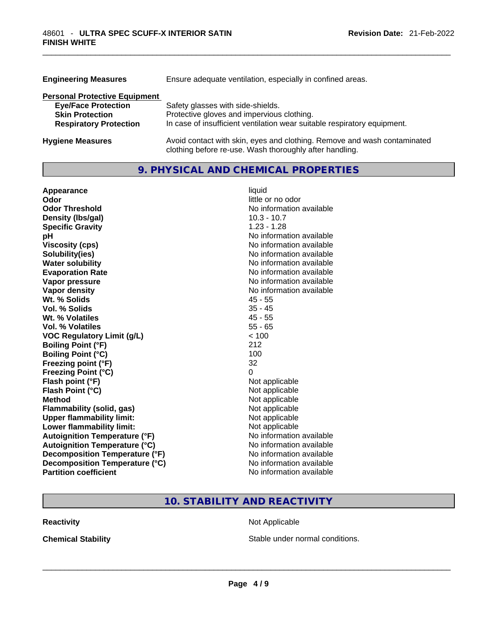| <b>Engineering Measures</b>          | Ensure adequate ventilation, especially in confined areas.                                                                          |
|--------------------------------------|-------------------------------------------------------------------------------------------------------------------------------------|
| <b>Personal Protective Equipment</b> |                                                                                                                                     |
| <b>Eye/Face Protection</b>           | Safety glasses with side-shields.                                                                                                   |
| <b>Skin Protection</b>               | Protective gloves and impervious clothing.                                                                                          |
| <b>Respiratory Protection</b>        | In case of insufficient ventilation wear suitable respiratory equipment.                                                            |
| <b>Hygiene Measures</b>              | Avoid contact with skin, eyes and clothing. Remove and wash contaminated<br>clothing before re-use. Wash thoroughly after handling. |

# **9. PHYSICAL AND CHEMICAL PROPERTIES**

| Appearance                           | liquid                   |
|--------------------------------------|--------------------------|
| Odor                                 | little or no odor        |
| <b>Odor Threshold</b>                | No information available |
| Density (Ibs/gal)                    | $10.3 - 10.7$            |
| <b>Specific Gravity</b>              | $1.23 - 1.28$            |
| рH                                   | No information available |
| <b>Viscosity (cps)</b>               | No information available |
| Solubility(ies)                      | No information available |
| <b>Water solubility</b>              | No information available |
| <b>Evaporation Rate</b>              | No information available |
| Vapor pressure                       | No information available |
| Vapor density                        | No information available |
| Wt. % Solids                         | $45 - 55$                |
| Vol. % Solids                        | $35 - 45$                |
| Wt. % Volatiles                      | $45 - 55$                |
| Vol. % Volatiles                     | $55 - 65$                |
| <b>VOC Regulatory Limit (g/L)</b>    | < 100                    |
| <b>Boiling Point (°F)</b>            | 212                      |
| <b>Boiling Point (°C)</b>            | 100                      |
| Freezing point (°F)                  | 32                       |
| <b>Freezing Point (°C)</b>           | 0                        |
| Flash point (°F)                     | Not applicable           |
| Flash Point (°C)                     | Not applicable           |
| <b>Method</b>                        | Not applicable           |
| <b>Flammability (solid, gas)</b>     | Not applicable           |
| <b>Upper flammability limit:</b>     | Not applicable           |
| <b>Lower flammability limit:</b>     | Not applicable           |
| <b>Autoignition Temperature (°F)</b> | No information available |
| <b>Autoignition Temperature (°C)</b> | No information available |
| Decomposition Temperature (°F)       | No information available |
| Decomposition Temperature (°C)       | No information available |
| <b>Partition coefficient</b>         | No information available |

# **10. STABILITY AND REACTIVITY**

**Reactivity Not Applicable** 

**Chemical Stability Stable under normal conditions. Chemical Stability Stable under normal conditions. Chemical Stability Chemical Stability Chemical Stability Chemical Stability Chemical Stability Chemic**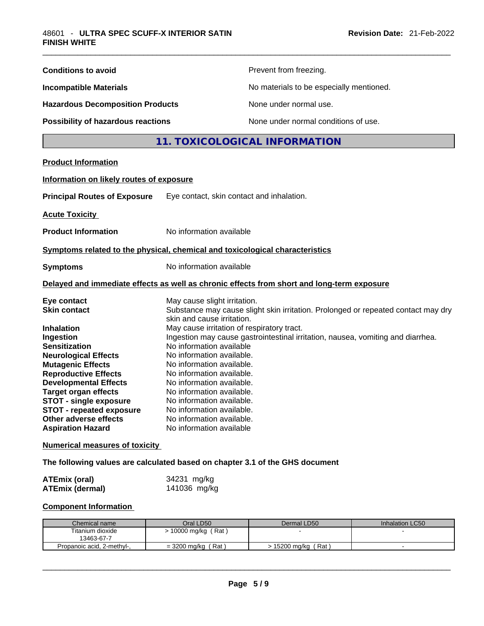| <b>Conditions to avoid</b>                                                                                                                                                                                                                                                                                                                                                                                                                                                                                                                                |                                                                                                                                                                                                                                                                                                                                                                                                                                         | Prevent from freezing.                                                                                                                                               |                 |
|-----------------------------------------------------------------------------------------------------------------------------------------------------------------------------------------------------------------------------------------------------------------------------------------------------------------------------------------------------------------------------------------------------------------------------------------------------------------------------------------------------------------------------------------------------------|-----------------------------------------------------------------------------------------------------------------------------------------------------------------------------------------------------------------------------------------------------------------------------------------------------------------------------------------------------------------------------------------------------------------------------------------|----------------------------------------------------------------------------------------------------------------------------------------------------------------------|-----------------|
| <b>Incompatible Materials</b>                                                                                                                                                                                                                                                                                                                                                                                                                                                                                                                             |                                                                                                                                                                                                                                                                                                                                                                                                                                         | No materials to be especially mentioned.                                                                                                                             |                 |
| <b>Hazardous Decomposition Products</b>                                                                                                                                                                                                                                                                                                                                                                                                                                                                                                                   |                                                                                                                                                                                                                                                                                                                                                                                                                                         | None under normal use.                                                                                                                                               |                 |
| Possibility of hazardous reactions                                                                                                                                                                                                                                                                                                                                                                                                                                                                                                                        |                                                                                                                                                                                                                                                                                                                                                                                                                                         | None under normal conditions of use.                                                                                                                                 |                 |
|                                                                                                                                                                                                                                                                                                                                                                                                                                                                                                                                                           |                                                                                                                                                                                                                                                                                                                                                                                                                                         | 11. TOXICOLOGICAL INFORMATION                                                                                                                                        |                 |
| <b>Product Information</b>                                                                                                                                                                                                                                                                                                                                                                                                                                                                                                                                |                                                                                                                                                                                                                                                                                                                                                                                                                                         |                                                                                                                                                                      |                 |
| Information on likely routes of exposure                                                                                                                                                                                                                                                                                                                                                                                                                                                                                                                  |                                                                                                                                                                                                                                                                                                                                                                                                                                         |                                                                                                                                                                      |                 |
| <b>Principal Routes of Exposure</b>                                                                                                                                                                                                                                                                                                                                                                                                                                                                                                                       | Eye contact, skin contact and inhalation.                                                                                                                                                                                                                                                                                                                                                                                               |                                                                                                                                                                      |                 |
| <b>Acute Toxicity</b>                                                                                                                                                                                                                                                                                                                                                                                                                                                                                                                                     |                                                                                                                                                                                                                                                                                                                                                                                                                                         |                                                                                                                                                                      |                 |
| <b>Product Information</b>                                                                                                                                                                                                                                                                                                                                                                                                                                                                                                                                | No information available                                                                                                                                                                                                                                                                                                                                                                                                                |                                                                                                                                                                      |                 |
| Symptoms related to the physical, chemical and toxicological characteristics                                                                                                                                                                                                                                                                                                                                                                                                                                                                              |                                                                                                                                                                                                                                                                                                                                                                                                                                         |                                                                                                                                                                      |                 |
|                                                                                                                                                                                                                                                                                                                                                                                                                                                                                                                                                           |                                                                                                                                                                                                                                                                                                                                                                                                                                         |                                                                                                                                                                      |                 |
| <b>Symptoms</b>                                                                                                                                                                                                                                                                                                                                                                                                                                                                                                                                           | No information available                                                                                                                                                                                                                                                                                                                                                                                                                |                                                                                                                                                                      |                 |
| Delayed and immediate effects as well as chronic effects from short and long-term exposure                                                                                                                                                                                                                                                                                                                                                                                                                                                                |                                                                                                                                                                                                                                                                                                                                                                                                                                         |                                                                                                                                                                      |                 |
| Eye contact<br><b>Skin contact</b><br><b>Inhalation</b><br>Ingestion<br><b>Sensitization</b><br><b>Neurological Effects</b><br><b>Mutagenic Effects</b><br><b>Reproductive Effects</b><br><b>Developmental Effects</b><br><b>Target organ effects</b><br><b>STOT - single exposure</b><br><b>STOT - repeated exposure</b><br>Other adverse effects<br><b>Aspiration Hazard</b><br><b>Numerical measures of toxicity</b><br>The following values are calculated based on chapter 3.1 of the GHS document<br><b>ATEmix (oral)</b><br><b>ATEmix (dermal)</b> | May cause slight irritation.<br>skin and cause irritation.<br>May cause irritation of respiratory tract.<br>No information available<br>No information available.<br>No information available.<br>No information available.<br>No information available.<br>No information available.<br>No information available.<br>No information available.<br>No information available.<br>No information available<br>34231 mg/kg<br>141036 mg/kg | Substance may cause slight skin irritation. Prolonged or repeated contact may dry<br>Ingestion may cause gastrointestinal irritation, nausea, vomiting and diarrhea. |                 |
|                                                                                                                                                                                                                                                                                                                                                                                                                                                                                                                                                           |                                                                                                                                                                                                                                                                                                                                                                                                                                         |                                                                                                                                                                      |                 |
| <b>Component Information</b>                                                                                                                                                                                                                                                                                                                                                                                                                                                                                                                              |                                                                                                                                                                                                                                                                                                                                                                                                                                         |                                                                                                                                                                      |                 |
| Chemical name<br>Titanium dioxide<br>13463-67-7                                                                                                                                                                                                                                                                                                                                                                                                                                                                                                           | Oral LD50<br>> 10000 mg/kg (Rat)                                                                                                                                                                                                                                                                                                                                                                                                        | Dermal LD50                                                                                                                                                          | Inhalation LC50 |
| Propanoic acid, 2-methyl-,                                                                                                                                                                                                                                                                                                                                                                                                                                                                                                                                | $=$ 3200 mg/kg (Rat)                                                                                                                                                                                                                                                                                                                                                                                                                    | > 15200 mg/kg (Rat)                                                                                                                                                  | $\sim$          |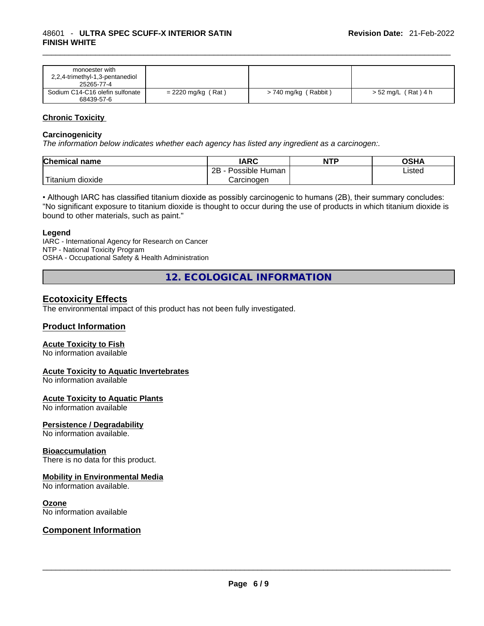| monoester with<br>2,2,4-trimethyl-1,3-pentanediol<br>25265-77-4 |                      |                      |                     |
|-----------------------------------------------------------------|----------------------|----------------------|---------------------|
| Sodium C14-C16 olefin sulfonate<br>68439-57-6                   | $= 2220$ mg/kg (Rat) | > 740 mg/kg (Rabbit) | > 52 mg/L (Rat) 4 h |

#### **Chronic Toxicity**

#### **Carcinogenicity**

*The information below indicates whether each agency has listed any ingredient as a carcinogen:.* 

| <b>Chemical name</b>    | IARC                 | <b>NTP</b> | OSHA   |
|-------------------------|----------------------|------------|--------|
|                         | Possible Human<br>2Β |            | ∟isted |
| ` Titanium 、<br>dioxide | Carcinogen           |            |        |

• Although IARC has classified titanium dioxide as possibly carcinogenic to humans (2B), their summary concludes: "No significant exposure to titanium dioxide is thought to occur during the use of products in which titanium dioxide is bound to other materials, such as paint."

#### **Legend**

IARC - International Agency for Research on Cancer NTP - National Toxicity Program OSHA - Occupational Safety & Health Administration

**12. ECOLOGICAL INFORMATION** 

# **Ecotoxicity Effects**

The environmental impact of this product has not been fully investigated.

#### **Product Information**

#### **Acute Toxicity to Fish**

No information available

#### **Acute Toxicity to Aquatic Invertebrates**

No information available

#### **Acute Toxicity to Aquatic Plants**

No information available

#### **Persistence / Degradability**

No information available.

#### **Bioaccumulation**

There is no data for this product.

#### **Mobility in Environmental Media**

No information available.

#### **Ozone**

# No information available \_\_\_\_\_\_\_\_\_\_\_\_\_\_\_\_\_\_\_\_\_\_\_\_\_\_\_\_\_\_\_\_\_\_\_\_\_\_\_\_\_\_\_\_\_\_\_\_\_\_\_\_\_\_\_\_\_\_\_\_\_\_\_\_\_\_\_\_\_\_\_\_\_\_\_\_\_\_\_\_\_\_\_\_\_\_\_\_\_\_\_\_\_ **Component Information**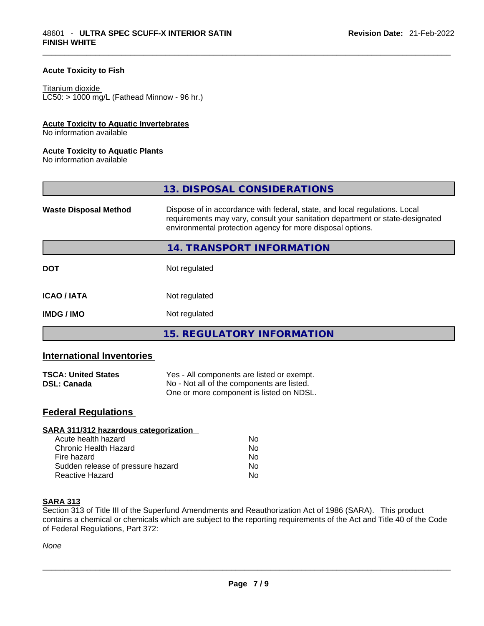## **Acute Toxicity to Fish**

#### Titanium dioxide

 $LCS0: > 1000$  mg/L (Fathead Minnow - 96 hr.)

#### **Acute Toxicity to Aquatic Invertebrates**

No information available

#### **Acute Toxicity to Aquatic Plants**

No information available

|                              | 13. DISPOSAL CONSIDERATIONS                                                                                                                                                                                               |
|------------------------------|---------------------------------------------------------------------------------------------------------------------------------------------------------------------------------------------------------------------------|
| <b>Waste Disposal Method</b> | Dispose of in accordance with federal, state, and local regulations. Local<br>requirements may vary, consult your sanitation department or state-designated<br>environmental protection agency for more disposal options. |
|                              | 14. TRANSPORT INFORMATION                                                                                                                                                                                                 |
| <b>DOT</b>                   | Not regulated                                                                                                                                                                                                             |
| <b>ICAO/IATA</b>             | Not regulated                                                                                                                                                                                                             |
| <b>IMDG/IMO</b>              | Not regulated                                                                                                                                                                                                             |
|                              | 15. REGULATORY INFORMATION                                                                                                                                                                                                |

# **International Inventories**

| <b>TSCA: United States</b> | Yes - All components are listed or exempt. |
|----------------------------|--------------------------------------------|
| <b>DSL: Canada</b>         | No - Not all of the components are listed. |
|                            | One or more component is listed on NDSL.   |

## **Federal Regulations**

| SARA 311/312 hazardous categorization |                |  |
|---------------------------------------|----------------|--|
| Acute health hazard                   | Nο             |  |
| <b>Chronic Health Hazard</b>          | Nο             |  |
| Fire hazard                           | N <sub>0</sub> |  |
| Sudden release of pressure hazard     | No             |  |
| <b>Reactive Hazard</b>                | No             |  |

#### **SARA 313**

Section 313 of Title III of the Superfund Amendments and Reauthorization Act of 1986 (SARA). This product contains a chemical or chemicals which are subject to the reporting requirements of the Act and Title 40 of the Code of Federal Regulations, Part 372: of Federal Regulations, Part 372: \_\_\_\_\_\_\_\_\_\_\_\_\_\_\_\_\_\_\_\_\_\_\_\_\_\_\_\_\_\_\_\_\_\_\_\_\_\_\_\_\_\_\_\_\_\_\_\_\_\_\_\_\_\_\_\_\_\_\_\_\_\_\_\_\_\_\_\_\_\_\_\_\_\_\_\_\_\_\_\_\_\_\_\_\_\_\_\_\_\_\_\_\_

*None*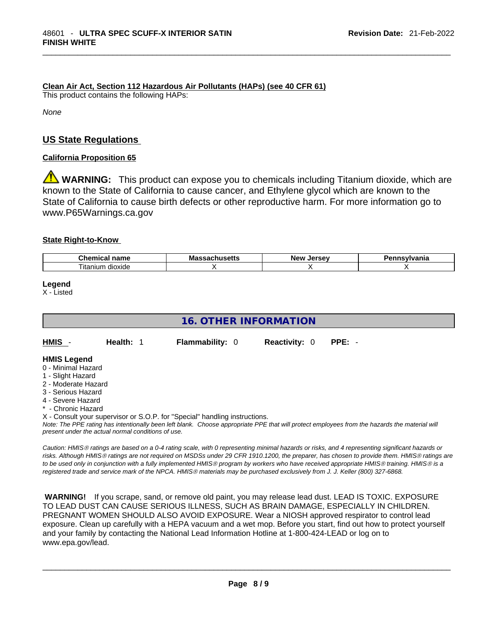**Clean Air Act,Section 112 Hazardous Air Pollutants (HAPs) (see 40 CFR 61)**

This product contains the following HAPs:

*None*

# **US State Regulations**

# **California Proposition 65**

**WARNING:** This product can expose you to chemicals including Titanium dioxide, which are known to the State of California to cause cancer, and Ethylene glycol which are known to the State of California to cause birth defects or other reproductive harm. For more information go to www.P65Warnings.ca.gov

#### **State Right-to-Know**

| $\sim$<br>--<br>.<br>чанк           | M | -------<br><b>Nev</b><br>Ωי | .<br>нс |
|-------------------------------------|---|-----------------------------|---------|
| $- \cdot$ .<br>dioxide<br>. itanıum |   |                             |         |

**Legend**

X - Listed

| <b>16. OTHER INFORMATION</b>                                                                                                                                                                                                                                                              |           |  |                        |                      |                                                                                                                                               |
|-------------------------------------------------------------------------------------------------------------------------------------------------------------------------------------------------------------------------------------------------------------------------------------------|-----------|--|------------------------|----------------------|-----------------------------------------------------------------------------------------------------------------------------------------------|
| HMIS -                                                                                                                                                                                                                                                                                    | Health: 1 |  | <b>Flammability: 0</b> | <b>Reactivity: 0</b> | $PPE: -$                                                                                                                                      |
| <b>HMIS Legend</b><br>0 - Minimal Hazard<br>1 - Slight Hazard<br>2 - Moderate Hazard<br>3 - Serious Hazard<br>4 - Severe Hazard<br>* - Chronic Hazard<br>X - Consult your supervisor or S.O.P. for "Special" handling instructions.<br>present under the actual normal conditions of use. |           |  |                        |                      | Note: The PPE rating has intentionally been left blank. Choose appropriate PPE that will protect employees from the hazards the material will |

*Caution: HMISÒ ratings are based on a 0-4 rating scale, with 0 representing minimal hazards or risks, and 4 representing significant hazards or risks. Although HMISÒ ratings are not required on MSDSs under 29 CFR 1910.1200, the preparer, has chosen to provide them. HMISÒ ratings are to be used only in conjunction with a fully implemented HMISÒ program by workers who have received appropriate HMISÒ training. HMISÒ is a registered trade and service mark of the NPCA. HMISÒ materials may be purchased exclusively from J. J. Keller (800) 327-6868.* 

 **WARNING!** If you scrape, sand, or remove old paint, you may release lead dust. LEAD IS TOXIC. EXPOSURE TO LEAD DUST CAN CAUSE SERIOUS ILLNESS, SUCH AS BRAIN DAMAGE, ESPECIALLY IN CHILDREN. PREGNANT WOMEN SHOULD ALSO AVOID EXPOSURE.Wear a NIOSH approved respirator to control lead exposure. Clean up carefully with a HEPA vacuum and a wet mop. Before you start, find out how to protect yourself and your family by contacting the National Lead Information Hotline at 1-800-424-LEAD or log on to www.epa.gov/lead.